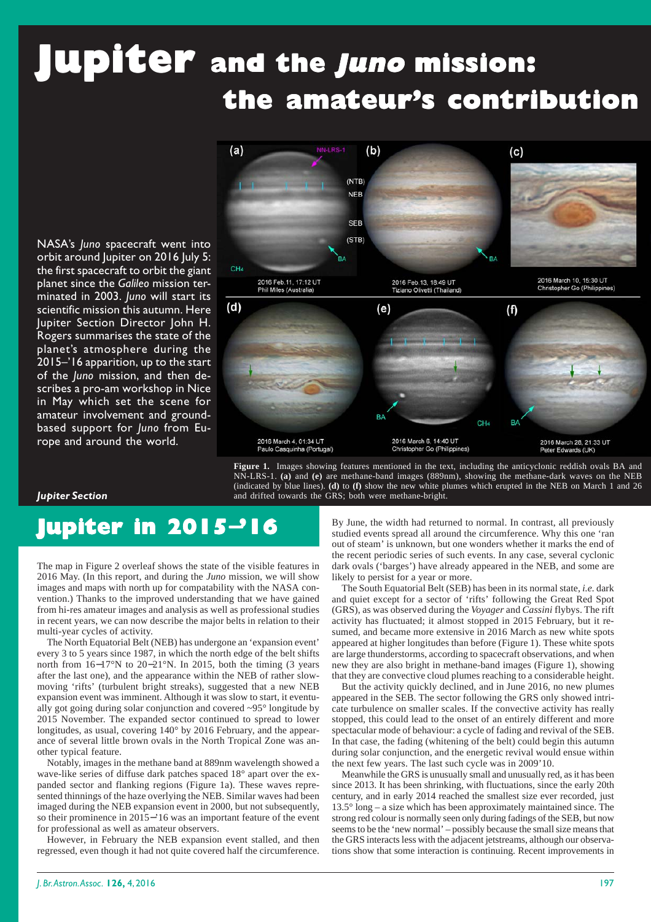# **Jupiter** and the *Juno* mission: **the amateur's contribution**

NASA's *Juno* spacecraft went into orbit around Jupiter on 2016 July 5: the first spacecraft to orbit the giant planet since the *Galileo* mission terminated in 2003. *Juno* will start its scientific mission this autumn. Here Jupiter Section Director John H. Rogers summarises the state of the planet's atmosphere during the 2015–'16 apparition, up to the start of the *Juno* mission, and then describes a pro-am workshop in Nice in May which set the scene for amateur involvement and groundbased support for *Juno* from Europe and around the world.



**Figure 1.** Images showing features mentioned in the text, including the anticyclonic reddish ovals BA and NN-LRS-1. **(a)** and **(e)** are methane-band images (889nm), showing the methane-dark waves on the NEB (indicated by blue lines). **(d)** to **(f)** show the new white plumes which erupted in the NEB on March 1 and 26 and drifted towards the GRS; both were methane-bright.

#### *Jupiter Section*

## **Jupiter in 2015**−**'16**

The map in Figure 2 overleaf shows the state of the visible features in 2016 May. (In this report, and during the *Juno* mission, we will show images and maps with north up for compatability with the NASA convention.) Thanks to the improved understanding that we have gained from hi-res amateur images and analysis as well as professional studies in recent years, we can now describe the major belts in relation to their multi-year cycles of activity.

The North Equatorial Belt (NEB) has undergone an 'expansion event' every 3 to 5 years since 1987, in which the north edge of the belt shifts north from 16−17°N to 20−21°N. In 2015, both the timing (3 years after the last one), and the appearance within the NEB of rather slowmoving 'rifts' (turbulent bright streaks), suggested that a new NEB expansion event was imminent. Although it was slow to start, it eventually got going during solar conjunction and covered ~95° longitude by 2015 November. The expanded sector continued to spread to lower longitudes, as usual, covering 140° by 2016 February, and the appearance of several little brown ovals in the North Tropical Zone was another typical feature.

Notably, images in the methane band at 889nm wavelength showed a wave-like series of diffuse dark patches spaced 18° apart over the expanded sector and flanking regions (Figure 1a). These waves represented thinnings of the haze overlying the NEB. Similar waves had been imaged during the NEB expansion event in 2000, but not subsequently, so their prominence in 2015−'16 was an important feature of the event for professional as well as amateur observers.

However, in February the NEB expansion event stalled, and then regressed, even though it had not quite covered half the circumference.

By June, the width had returned to normal. In contrast, all previously studied events spread all around the circumference. Why this one 'ran out of steam' is unknown, but one wonders whether it marks the end of the recent periodic series of such events. In any case, several cyclonic dark ovals ('barges') have already appeared in the NEB, and some are likely to persist for a year or more.

The South Equatorial Belt (SEB) has been in its normal state, *i.e.* dark and quiet except for a sector of 'rifts' following the Great Red Spot (GRS), as was observed during the *Voyager* and *Cassini* flybys. The rift activity has fluctuated; it almost stopped in 2015 February, but it resumed, and became more extensive in 2016 March as new white spots appeared at higher longitudes than before (Figure 1). These white spots are large thunderstorms, according to spacecraft observations, and when new they are also bright in methane-band images (Figure 1), showing that they are convective cloud plumes reaching to a considerable height.

But the activity quickly declined, and in June 2016, no new plumes appeared in the SEB. The sector following the GRS only showed intricate turbulence on smaller scales. If the convective activity has really stopped, this could lead to the onset of an entirely different and more spectacular mode of behaviour: a cycle of fading and revival of the SEB. In that case, the fading (whitening of the belt) could begin this autumn during solar conjunction, and the energetic revival would ensue within the next few years. The last such cycle was in 2009'10.

Meanwhile the GRS is unusually small and unusually red, as it has been since 2013. It has been shrinking, with fluctuations, since the early 20th century, and in early 2014 reached the smallest size ever recorded, just 13.5° long – a size which has been approximately maintained since. The strong red colour is normally seen only during fadings of the SEB, but now seems to be the 'new normal' – possibly because the small size means that the GRS interacts less with the adjacent jetstreams, although our observations show that some interaction is continuing. Recent improvements in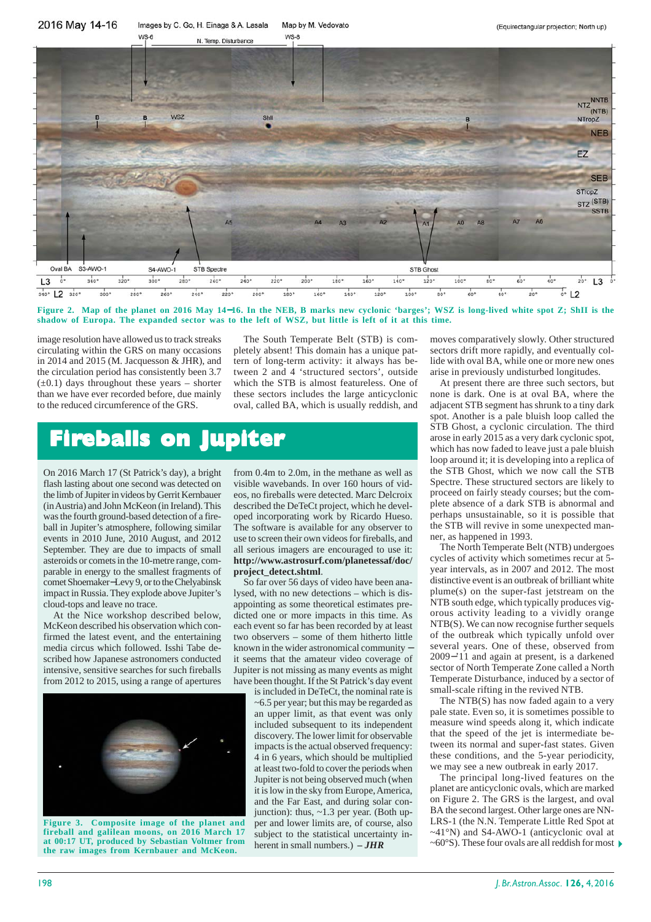

**Figure 2. Map of the planet on 2016 May 14**−**16. In the NEB, B marks new cyclonic 'barges'; WSZ is long-lived white spot Z; ShII is the shadow of Europa. The expanded sector was to the left of WSZ, but little is left of it at this time.**

image resolution have allowed us to track streaks circulating within the GRS on many occasions in 2014 and 2015 (M. Jacquesson & JHR), and the circulation period has consistently been 3.7  $(\pm 0.1)$  days throughout these years – shorter than we have ever recorded before, due mainly to the reduced circumference of the GRS.

The South Temperate Belt (STB) is completely absent! This domain has a unique pattern of long-term activity: it always has between 2 and 4 'structured sectors', outside which the STB is almost featureless. One of these sectors includes the large anticyclonic oval, called BA, which is usually reddish, and

### **Fireballs on Jupiter eballs on Jupiter**

On 2016 March 17 (St Patrick's day), a bright flash lasting about one second was detected on the limb of Jupiter in videos by Gerrit Kernbauer (in Austria) and John McKeon (in Ireland). This was the fourth ground-based detection of a fireball in Jupiter's atmosphere, following similar events in 2010 June, 2010 August, and 2012 September. They are due to impacts of small asteroids or comets in the 10-metre range, comparable in energy to the smallest fragments of comet Shoemaker−Levy 9, or to the Chelyabinsk impact in Russia. They explode above Jupiter's cloud-tops and leave no trace.

At the Nice workshop described below, McKeon described his observation which confirmed the latest event, and the entertaining media circus which followed. Isshi Tabe described how Japanese astronomers conducted intensive, sensitive searches for such fireballs from 2012 to 2015, using a range of apertures



at 00:17 UT, produced by Sebastian Voltmer from herent in small numbers.)  $-JHR$   $\sim$  60°S). These four ovals are all reddish for most  $\triangleright$  the raw images from Kernbauer and McKeon. **Figure 3. Composite image of the planet and fireball and galilean moons, on 2016 March 17 at 00:17 UT, produced by Sebastian Voltmer from**

from 0.4m to 2.0m, in the methane as well as visible wavebands. In over 160 hours of videos, no fireballs were detected. Marc Delcroix described the DeTeCt project, which he developed incorporating work by Ricardo Hueso. The software is available for any observer to use to screen their own videos for fireballs, and all serious imagers are encouraged to use it: **http://www.astrosurf.com/planetessaf/doc/ project\_detect.shtml**.

So far over 56 days of video have been analysed, with no new detections – which is disappointing as some theoretical estimates predicted one or more impacts in this time. As each event so far has been recorded by at least two observers – some of them hitherto little known in the wider astronomical community − it seems that the amateur video coverage of Jupiter is not missing as many events as might have been thought. If the St Patrick's day event

is included in DeTeCt, the nominal rate is ~6.5 per year; but this may be regarded as an upper limit, as that event was only included subsequent to its independent discovery. The lower limit for observable impacts is the actual observed frequency: 4 in 6 years, which should be multiplied at least two-fold to cover the periods when Jupiter is not being observed much (when it is low in the sky from Europe, America, and the Far East, and during solar conjunction): thus, ~1.3 per year. (Both upper and lower limits are, of course, also subject to the statistical uncertainty inherent in small numbers.) *– JHR*

moves comparatively slowly. Other structured sectors drift more rapidly, and eventually collide with oval BA, while one or more new ones arise in previously undisturbed longitudes.

At present there are three such sectors, but none is dark. One is at oval BA, where the adjacent STB segment has shrunk to a tiny dark spot. Another is a pale bluish loop called the STB Ghost, a cyclonic circulation. The third arose in early 2015 as a very dark cyclonic spot, which has now faded to leave just a pale bluish loop around it; it is developing into a replica of the STB Ghost, which we now call the STB Spectre. These structured sectors are likely to proceed on fairly steady courses; but the complete absence of a dark STB is abnormal and perhaps unsustainable, so it is possible that the STB will revive in some unexpected manner, as happened in 1993.

The North Temperate Belt (NTB) undergoes cycles of activity which sometimes recur at 5 year intervals, as in 2007 and 2012. The most distinctive event is an outbreak of brilliant white plume(s) on the super-fast jetstream on the NTB south edge, which typically produces vigorous activity leading to a vividly orange NTB(S). We can now recognise further sequels of the outbreak which typically unfold over several years. One of these, observed from 2009−'11 and again at present, is a darkened sector of North Temperate Zone called a North Temperate Disturbance, induced by a sector of small-scale rifting in the revived NTB.

The NTB(S) has now faded again to a very pale state. Even so, it is sometimes possible to measure wind speeds along it, which indicate that the speed of the jet is intermediate between its normal and super-fast states. Given these conditions, and the 5-year periodicity, we may see a new outbreak in early 2017.

The principal long-lived features on the planet are anticyclonic ovals, which are marked on Figure 2. The GRS is the largest, and oval BA the second largest. Other large ones are NN-LRS-1 (the N.N. Temperate Little Red Spot at ~41°N) and S4-AWO-1 (anticyclonic oval at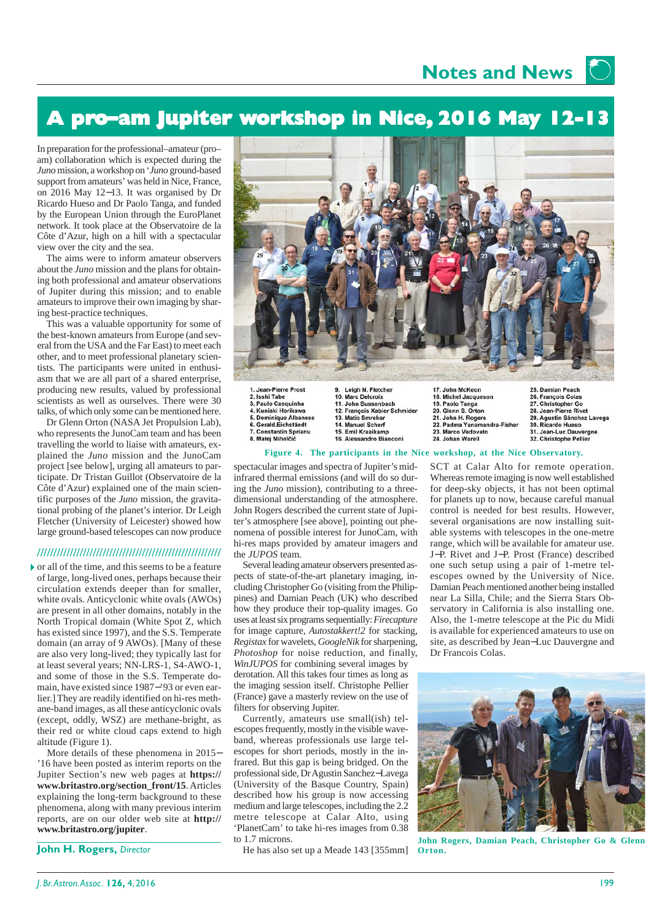**Notes and News**

### **A pro-am Jupiter workshop in Nice, 2016 May 12-13**

In preparation for the professional–amateur (pro– am) collaboration which is expected during the *Juno* mission, a workshop on '*Juno* ground-based support from amateurs' was held in Nice, France, on 2016 May 12−13. It was organised by Dr Ricardo Hueso and Dr Paolo Tanga, and funded by the European Union through the EuroPlanet network. It took place at the Observatoire de la Côte d'Azur, high on a hill with a spectacular view over the city and the sea.

The aims were to inform amateur observers about the *Juno* mission and the plans for obtaining both professional and amateur observations of Jupiter during this mission; and to enable amateurs to improve their own imaging by sharing best-practice techniques.

This was a valuable opportunity for some of the best-known amateurs from Europe (and several from the USA and the Far East) to meet each other, and to meet professional planetary scientists. The participants were united in enthusiasm that we are all part of a shared enterprise, producing new results, valued by professional scientists as well as ourselves. There were 30 talks, of which only some can be mentioned here.

Dr Glenn Orton (NASA Jet Propulsion Lab), who represents the JunoCam team and has been travelling the world to liaise with amateurs, explained the *Juno* mission and the JunoCam project [see below], urging all amateurs to participate. Dr Tristan Guillot (Observatoire de la Côte d'Azur) explained one of the main scientific purposes of the *Juno* mission, the gravitational probing of the planet's interior. Dr Leigh Fletcher (University of Leicester) showed how large ground-based telescopes can now produce

#### **////////////////////////////////////////////////////////**

or all of the time, and this seems to be a feature of large, long-lived ones, perhaps because their circulation extends deeper than for smaller, white ovals. Anticyclonic white ovals (AWOs) are present in all other domains, notably in the North Tropical domain (White Spot Z, which has existed since 1997), and the S.S. Temperate domain (an array of 9 AWOs). [Many of these are also very long-lived; they typically last for at least several years; NN-LRS-1, S4-AWO-1, and some of those in the S.S. Temperate domain, have existed since 1987−'93 or even earlier.] They are readily identified on hi-res methane-band images, as all these anticyclonic ovals (except, oddly, WSZ) are methane-bright, as their red or white cloud caps extend to high altitude (Figure 1).

More details of these phenomena in 2015− '16 have been posted as interim reports on the Jupiter Section's new web pages at **https:// www.britastro.org/section\_front/15**. Articles explaining the long-term background to these phenomena, along with many previous interim reports, are on our older web site at **http:// www.britastro.org/jupiter**.

**John H. Rogers,** *Director*



1. Jean-Pierre Prost 3. Paulo Casquinha 4. Kunjaki Horikawa 4. Kuniaki Horikawa<br>5. Dominique Albanes<br>6. Gerald.Eichstäedt 7. Constantin Sprianu

8. Matej Mihelčič

Leigh N. Fletcher 10. Marc Delcroix 11. John Sussenbach 12. Francois Xabier Schmider 13. Matic Smrekar<br>14. Manuel Scherf 15. Emil Kraaikamp 16. Alessandro Bianconi

18. Michel Jacqueson 19. Paolo Tanga 20. Glenn S. Orton 21. John H. Rogers 22. Padma Yanamandra-Fisher 23. Marco Vedovato 24. Johan Warell

25. Damian Peach 26. François Colas 27. Christopher Go 28. Jean-Pierre Rivet 29. Agustín Sánchez Lavega 30. Ricardo Hueso 31. Jean-Luc Dauvergne 32. Christophe Pellier

#### **Figure 4. The participants in the Nice workshop, at the Nice Observatory.**

spectacular images and spectra of Jupiter's midinfrared thermal emissions (and will do so during the *Juno* mission), contributing to a threedimensional understanding of the atmosphere. John Rogers described the current state of Jupiter's atmosphere [see above], pointing out phenomena of possible interest for JunoCam, with hi-res maps provided by amateur imagers and the *JUPOS* team.

Several leading amateur observers presented aspects of state-of-the-art planetary imaging, including Christopher Go (visiting from the Philippines) and Damian Peach (UK) who described how they produce their top-quality images. Go uses at least six programs sequentially: *Firecapture* for image capture, *Autostakkert!2* for stacking, *Registax* for wavelets, *GoogleNik* for sharpening, *Photoshop* for noise reduction, and finally, *WinJUPOS* for combining several images by derotation. All this takes four times as long as the imaging session itself. Christophe Pellier (France) gave a masterly review on the use of filters for observing Jupiter.

Currently, amateurs use small(ish) telescopes frequently, mostly in the visible waveband, whereas professionals use large telescopes for short periods, mostly in the infrared. But this gap is being bridged. On the professional side, Dr Agustin Sanchez−Lavega (University of the Basque Country, Spain) described how his group is now accessing medium and large telescopes, including the 2.2 metre telescope at Calar Alto, using 'PlanetCam' to take hi-res images from 0.38 to 1.7 microns.

He has also set up a Meade 143 [355mm]

SCT at Calar Alto for remote operation. Whereas remote imaging is now well established for deep-sky objects, it has not been optimal for planets up to now, because careful manual control is needed for best results. However, several organisations are now installing suitable systems with telescopes in the one-metre range, which will be available for amateur use. J−P. Rivet and J−P. Prost (France) described one such setup using a pair of 1-metre telescopes owned by the University of Nice. Damian Peach mentioned another being installed near La Silla, Chile; and the Sierra Stars Observatory in California is also installing one. Also, the 1-metre telescope at the Pic du Midi is available for experienced amateurs to use on site, as described by Jean−Luc Dauvergne and Dr Francois Colas.



**John Rogers, Damian Peach, Christopher Go & Glenn Orton.**